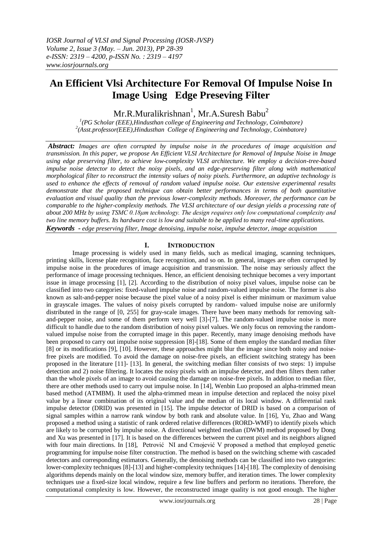# **An Efficient Vlsi Architecture For Removal Of Impulse Noise In Image Using Edge Preseving Filter**

Mr.R.Muralikrishnan<sup>1</sup>, Mr.A.Suresh Babu<sup>2</sup>

*1 (PG Scholar (EEE),Hindusthan college of Engineering and Technology, Coimbatore) 2 (Asst.professor(EEE),Hindusthan College of Engineering and Technology, Coimbatore)*

*Abstract: Images are often corrupted by impulse noise in the procedures of image acquisition and transmission. In this paper, we propose An Efficient VLSI Architecture for Removal of Impulse Noise in Image using edge preserving filter, to achieve low-complexity VLSI architecture. We employ a decision-tree-based impulse noise detector to detect the noisy pixels, and an edge-preserving filter along with mathematical morphological filter to reconstruct the intensity values of noisy pixels. Furthermore, an adaptive technology is used to enhance the effects of removal of random valued impulse noise. Our extensive experimental results demonstrate that the proposed technique can obtain better performances in terms of both quantitative evaluation and visual quality than the previous lower-complexity methods. Moreover, the performance can be comparable to the higher-complexity methods. The VLSI architecture of our design yields a processing rate of about 200 MHz by using TSMC 0.18μm technology. The design requires only low computational complexity and two line memory buffers. Its hardware cost is low and suitable to be applied to many real-time applications. Keywords - edge preserving filter, Image denoising, impulse noise, impulse detector, image acquisition*

## **I. INTRODUCTION**

Image processing is widely used in many fields, such as medical imaging, scanning techniques, printing skills, license plate recognition, face recognition, and so on. In general, images are often corrupted by impulse noise in the procedures of image acquisition and transmission. The noise may seriously affect the performance of image processing techniques. Hence, an efficient denoising technique becomes a very important issue in image processing [1], [2]. According to the distribution of noisy pixel values, impulse noise can be classified into two categories: fixed-valued impulse noise and random-valued impulse noise. The former is also known as salt-and-pepper noise because the pixel value of a noisy pixel is either minimum or maximum value in grayscale images. The values of noisy pixels corrupted by random- valued impulse noise are uniformly distributed in the range of [0, 255] for gray-scale images. There have been many methods for removing saltand-pepper noise, and some of them perform very well [3]-[7]. The random-valued impulse noise is more difficult to handle due to the random distribution of noisy pixel values. We only focus on removing the randomvalued impulse noise from the corrupted image in this paper. Recently, many image denoising methods have been proposed to carry out impulse noise suppression [8]-[18]. Some of them employ the standard median filter [8] or its modifications [9], [10]. However, these approaches might blur the image since both noisy and noisefree pixels are modified. To avoid the damage on noise-free pixels, an efficient switching strategy has been proposed in the literature [11]- [13]. In general, the switching median filter consists of two steps: 1) impulse detection and 2) noise filtering. It locates the noisy pixels with an impulse detector, and then filters them rather than the whole pixels of an image to avoid causing the damage on noise-free pixels. In addition to median filer, there are other methods used to carry out impulse noise. In [14], Wenbin Luo proposed an alpha-trimmed mean based method (ATMBM). It used the alpha-trimmed mean in impulse detection and replaced the noisy pixel value by a linear combination of its original value and the median of its local window. A differential rank impulse detector (DRID) was presented in [15]. The impulse detector of DRID is based on a comparison of signal samples within a narrow rank window by both rank and absolute value. In [16], Yu, Zhao and Wang proposed a method using a statistic of rank ordered relative differences (RORD-WMF) to identify pixels which are likely to be corrupted by impulse noise. A directional weighted median (DWM) method proposed by Dong and Xu was presented in [17]. It is based on the differences between the current pixel and its neighbors aligned with four main directions. In [18], Petrović NI and Crnojević V proposed a method that employed genetic programming for impulse noise filter construction. The method is based on the switching scheme with cascaded detectors and corresponding estimators. Generally, the denoising methods can be classified into two categories: lower-complexity techniques [8]-[13] and higher-complexity techniques [14]-[18]. The complexity of denoising algorithms depends mainly on the local window size, memory buffer, and iteration times. The lower complexity techniques use a fixed-size local window, require a few line buffers and perform no iterations. Therefore, the computational complexity is low. However, the reconstructed image quality is not good enough. The higher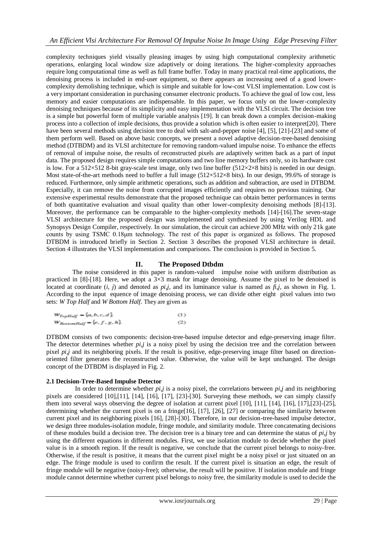complexity techniques yield visually pleasing images by using high computational complexity arithmetic operations, enlarging local window size adaptively or doing iterations. The higher-complexity approaches require long computational time as well as full frame buffer. Today in many practical real-time applications, the denoising process is included in end-user equipment, so there appears an increasing need of a good lowercomplexity demolishing technique, which is simple and suitable for low-cost VLSI implementation. Low cost is a very important consideration in purchasing consumer electronic products. To achieve the goal of low cost, less memory and easier computations are indispensable. In this paper, we focus only on the lower-complexity denoising techniques because of its simplicity and easy implementation with the VLSI circuit. The decision tree is a simple but powerful form of multiple variable analysis [19]. It can break down a complex decision-making process into a collection of imple decisions, thus provide a solution which is often easier to interpret[20]. There have been several methods using decision tree to deal with salt-and-pepper noise [4], [5], [21]-[23] and some of them perform well. Based on above basic concepts, we present a novel adaptive decision-tree-based denoising method (DTBDM) and its VLSI architecture for removing random-valued impulse noise. To enhance the effects of removal of impulse noise, the results of reconstructed pixels are adaptively written back as a part of input data. The proposed design requires simple computations and two line memory buffers only, so its hardware cost is low. For a 512×512 8-bit gray-scale test image, only two line buffer (512×2×8 bits) is needed in our design. Most state-of-the-art methods need to buffer a full image (512×512×8 bits). In our design, 99.6% of storage is reduced. Furthermore, only simple arithmetic operations, such as addition and subtraction, are used in DTBDM. Especially, it can remove the noise from corrupted images efficiently and requires no previous training. Our extensive experimental results demonstrate that the proposed technique can obtain better performances in terms of both quantitative evaluation and visual quality than other lower-complexity denoising methods [8]-[13]. Moreover, the performance can be comparable to the higher-complexity methods [14]-[16].The seven-stage VLSI architecture for the proposed design was implemented and synthesized by using Verilog HDL and Synopsys Design Compiler, respectively. In our simulation, the circuit can achieve 200 MHz with only 21k gate counts by using TSMC 0.18μm technology. The rest of this paper is organized as follows. The proposed DTBDM is introduced briefly in Section 2. Section 3 describes the proposed VLSI architecture in detail. Section 4 illustrates the VLSI implementation and comparisons. The conclusion is provided in Section 5.

## **II. The Proposed Dtbdm**

The noise considered in this paper is random-valued impulse noise with uniform distribution as practiced in [8]-[18]. Here, we adopt a  $3\times3$  mask for image denoising. Assume the pixel to be denoised is located at coordinate  $(i, j)$  and denoted as  $pi$ , and its luminance value is named as  $fi$ , as shown in Fig. 1. According to the input equence of image denoising process, we can divide other eight pixel values into two sets: *W Top Half* and *W Bottom Half*. They are given as

$$
W_{TopHalf} = \{a, b, c, d\}
$$
  
\n
$$
W_{RotionHalf} = \{e, f, g, h\}
$$
 (1)

DTBDM consists of two components: decision-tree-based impulse detector and edge-preserving image filter. The detector determines whether *pi,j* is a noisy pixel by using the decision tree and the correlation between pixel *pi,j* and its neighboring pixels. If the result is positive, edge-preserving image filter based on directionoriented filter generates the reconstructed value. Otherwise, the value will be kept unchanged. The design concept of the DTBDM is displayed in Fig. 2.

## **2.1 Decision-Tree-Based Impulse Detector**

 In order to determine whether *pi,j* is a noisy pixel, the correlations between *pi,j* and its neighboring pixels are considered [10],[11], [14], [16], [17], [23]-[30]. Surveying these methods, we can simply classify them into several ways observing the degree of isolation at current pixel [10], [11], [14], [16], [17],[23]-[25], determining whether the current pixel is on a fringe[16], [17], [26], [27] or comparing the similarity between current pixel and its neighboring pixels [16], [28]-[30]. Therefore, in our decision-tree-based impulse detector, we design three modules**-**isolation module, fringe module, and similarity module. Three concatenating decisions of these modules build a decision tree. The decision tree is a binary tree and can determine the status of *pi,j* by using the different equations in different modules. First, we use isolation module to decide whether the pixel value is in a smooth region. If the result is negative, we conclude that the current pixel belongs to noisy-free. Otherwise, if the result is positive, it means that the current pixel might be a noisy pixel or just situated on an edge. The fringe module is used to confirm the result. If the current pixel is situation an edge, the result of fringe module will be negative (noisy-free); otherwise, the result will be positive. If isolation module and fringe module cannot determine whether current pixel belongs to noisy free, the similarity module is used to decide the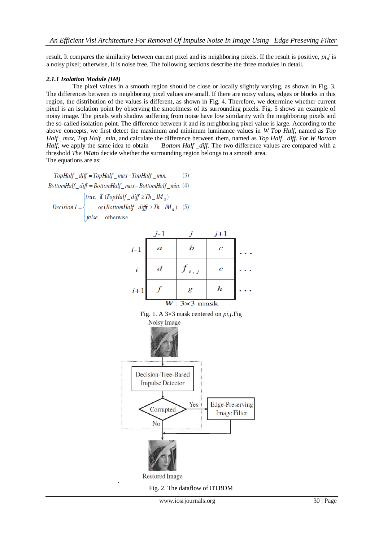result. It compares the similarity between current pixel and its neighboring pixels. If the result is positive, *pi,j* is a noisy pixel; otherwise, it is noise free. The following sections describe the three modules in detail.

## *2.1.1 Isolation Module (IM)*

The pixel values in a smooth region should be close or locally slightly varying, as shown in Fig. 3. The differences between its neighboring pixel values are small. If there are noisy values, edges or blocks in this region, the distribution of the values is different, as shown in Fig. 4. Therefore, we determine whether current pixel is an isolation point by observing the smoothness of its surrounding pixels. Fig. 5 shows an example of noisy image. The pixels with shadow suffering from noise have low similarity with the neighboring pixels and the so-called isolation point. The difference between it and its nerghboring pixel value is large. According to the above concepts, we first detect the maximum and minimum luminance values in *W Top Half*, named as *Top Half \_max*, *Top Half \_min*, and calculate the difference between them, named as *Top Half\_ diff*. For *W Bottom Half*, we apply the same idea to obtain Bottom *Half diff*. The two difference values are compared with a threshold *The IMa*to decide whether the surrounding region belongs to a smooth area. The equations are as:

 $TopHalf\_diff = TopHalf\_max - TopHalf\_min$ .  $(3)$  $BottomHalf\_diff = BottomHalf\_max - BottomHalf\_min.$  (4)

[true, if  $(TopHalf\_diff \ge Th\_IM_a)$ ] or  $(BottomHalf\_diff \ge Th \_IM_a)$  (5) Decision  $I = \{$ false, otherwise.



Fig. 2. The dataflow of DTBDM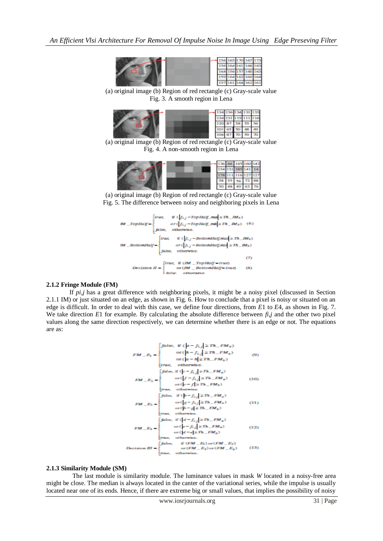

(a) original image (b) Region of red rectangle (c) Gray-scale value Fig. 3. A smooth region in Lena



(a) original image (b) Region of red rectangle (c) Gray-scale value Fig. 4. A non-smooth region in Lena



(a) original image (b) Region of red rectangle (c) Gray-scale value Fig. 5. The difference between noisy and neighboring pixels in Lena



#### **2.1.2 Fringe Module (FM)**

If *pi,j* has a great difference with neighboring pixels, it might be a noisy pixel (discussed in Section 2.1.1 IM) or just situated on an edge, as shown in Fig. 6. How to conclude that a pixel is noisy or situated on an edge is difficult. In order to deal with this case, we define four directions, from *E*1 to *E*4*,* as shown in Fig. 7. We take direction *E*1 for example. By calculating the absolute difference between *fi,j* and the other two pixel values along the same direction respectively, we can determine whether there is an edge or not. The equations are as:

$$
FM = E_1 = \begin{cases} \int atte, & \text{if } (n - f_{i,j}) \geq Th = FM_a \text{)} \\ & \text{or } (n - h) \geq Th = FM_a \text{)} \\ & \text{or } (n - h) \geq Th = FM_b \text{)} \end{cases} \tag{9}
$$
\n
$$
FM = E_2 = \begin{cases} \int atte, & \text{if } (k - f_{i,j}) \geq Th = FM_a \text{)} \\ & \text{or } (k - f_{i,j}) \geq Th = FM_a \text{)} \\ & \text{or } (k - f_{i,j}) \geq Th = FM_a \text{)} \\ & \text{or } (k - f) \geq Th = FM_b \text{)} \end{cases} \tag{10}
$$
\n
$$
FM = E_3 = \begin{cases} \int atte, & \text{if } (k - f_{i,j}) \geq Th = FM_a \text{)} \\ & \text{or } (k - f_{i,j}) \geq Th = FM_a \text{)} \\ & \text{or } (k - f_{i,j}) \geq Th = FM_a \text{)} \\ & \text{or } (k - f_{i,j}) \geq Th = FM_a \text{)} \\ & \text{if } (k - f_{i,j}) \geq Th = FM_a \text{)} \\ & \text{or } (k - f_{i,j}) \geq Th = FM_a \text{)} \end{cases} \tag{12}
$$
\n
$$
FM = E_4 = \begin{cases} \int atte, & \text{if } (k - f_{i,j}) \geq Th = FM_a \text{)} \\ & \text{or } (k - f_{i,j}) \geq Th = FM_a \text{)} \\ & \text{or } (k - f_{i,j}) \geq Th = FM_a \text{)} \\ & \text{or } (k - f_{i,j}) \geq Th = FM_a \text{)} \end{cases} \tag{13}
$$
\n
$$
D_e = \begin{cases} \int atte, & \text{if } (FM = E_3) \text{ or } (FM = E_2) \\ & \text{if } (km = K_3) \text{ or } (FM = E_3) \text{} \end{cases} \tag{13}
$$

#### **2.1.3 Similarity Module (SM)**

The last module is similarity module. The luminance values in mask *W* located in a noisy-free area might be close. The median is always located in the canter of the variational series, while the impulse is usually located near one of its ends. Hence, if there are extreme big or small values, that implies the possibility of noisy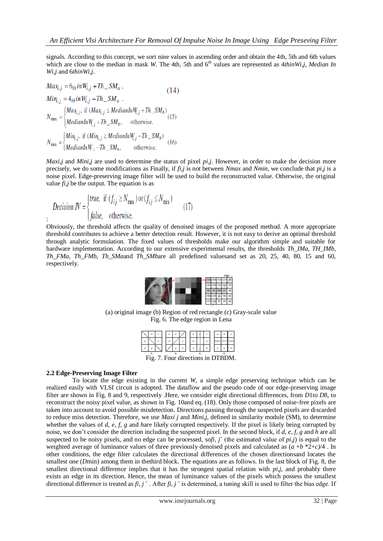signals. According to this concept, we sort nine values in ascending order and obtain the 4th, 5th and 6th values which are close to the median in mask *W*. The 4th, 5th and 6<sup>th</sup> values are represented as 4*thinWi,j, Median In Wi,j* and 6*thinWi,j*.

$$
Max_{i,j} = 6_{th}inW_{i,j} + Th\_SM_a,
$$
\n(14)  
\n
$$
Min_{i,j} = 4_{th}inW_{i,j} - Th\_SM_a
$$
\n
$$
N_{\text{max}} =\begin{cases} Max_{i,j}, \text{ if } (Max_{i,j} \leq MedianlnW_{i,j} + Th\_SM_b) \\ MedianlnW_{i,j} + Th\_SM_b, \text{ otherwise.} \end{cases}
$$
\n(15)  
\n
$$
N_{\text{min}} =\begin{cases} Min_{i,j}, \text{ if } (Min_{i,j} \geq MedianlnW_{i,j} - Th\_SM_b) \\ MedianlnW_{i,j} - Th\_SM_b, \text{ otherwise.} \end{cases}
$$

*Maxi,j* and *Mini,j* are used to determine the status of pixel *pi,j*. However, in order to make the decision more precisely, we do some modifications as Finally, if *fi,j* is not between *Nmax* and *Nmin*, we conclude that *pi,j* is a noise pixel. Edge-preserving image filter will be used to build the reconstructed value. Otherwise, the original value *fi,j* be the output. The equation is as

*Decision IV* = 
$$
\begin{cases} true, & \text{if } (f_{i,j} \ge N_{\text{max}}) \text{ or } (f_{i,j} \le N_{\text{min}}) \\ false, & \text{otherwise.} \end{cases}
$$
 (17)

Obviously, the threshold affects the quality of denoised images of the proposed method. A more appropriate threshold contributes to achieve a better detection result. However, it is not easy to derive an optimal threshold through analytic formulation. The fixed values of thresholds make our algorithm simple and suitable for hardware implementation. According to our extensive experimental results, the thresholds *Th\_IMa*, *TH\_IMb*, *Th\_FMa*, *Th\_FMb*, *Th\_SMa*and *Th\_SMb*are all predefined valuesand set as 20, 25, 40, 80, 15 and 60, respectively.



(a) original image (b) Region of red rectangle (c) Gray-scale value Fig. 6. The edge region in Lena

|  |  |  |  |  |  |  |  |  |  |  |               |  | $\sim$ $\sim$ $\sim$                                                                                                                                                                                                                                                  |
|--|--|--|--|--|--|--|--|--|--|--|---------------|--|-----------------------------------------------------------------------------------------------------------------------------------------------------------------------------------------------------------------------------------------------------------------------|
|  |  |  |  |  |  |  |  |  |  |  |               |  |                                                                                                                                                                                                                                                                       |
|  |  |  |  |  |  |  |  |  |  |  | $\mathcal{F}$ |  | <b>The Contract of the Contract of the Contract of the Contract of the Contract of the Contract of the Contract of the Contract of the Contract of the Contract of the Contract of the Contract of the Contract of the Contract </b><br>$\mathbf{r}$ and $\mathbf{r}$ |
|  |  |  |  |  |  |  |  |  |  |  |               |  |                                                                                                                                                                                                                                                                       |

Fig. 7. Four directions in DTBDM.

## **2.2 Edge-Preserving Image Filter**

:

To locate the edge existing in the current *W*, a simple edge preserving technique which can be realized easily with VLSI circuit is adopted. The dataflow and the pseudo code of our edge-preserving image filter are shown in Fig. 8 and 9, respectively .Here, we consider eight directional differences, from *D*1to *D*8, to reconstruct the noisy pixel value, as shown in Fig. 10and eq. (18). Only those composed of noise-free pixels are taken into account to avoid possible misdetection. Directions passing through the suspected pixels are discarded to reduce miss detection. Therefore, we use *Maxi j* and *Mini,j*, defined in similarity module (SM), to determine whether the values of *d*, *e*, *f*, *g* and *h*are likely corrupted respectively. If the pixel is likely being corrupted by noise, we don't consider the direction including the suspected pixel. In the second block, if *d*, *e*, *f*, *g* and *h* are all suspected to be noisy pixels, and no edge can be processed, sofi,  $\hat{j}^{\hat{i}}$  (the estimated value of *pi*,*j*) is equal to the weighted average of luminance values of three previously denoised pixels and calculated as (*a* +*b* \*2+*c)*/4 . In other conditions, the edge filter calculates the directional differences of the chosen directionsand locates the smallest one (*D*min) among them in thethird block. The equations are as follows. In the last block of Fig. 8, the smallest directional difference implies that it has the strongest spatial relation with *pi,j*, and probably there exists an edge in its direction. Hence, the mean of luminance values of the pixels which possess the smallest directional difference is treated as *fi*, *j* ˆ . After *fi*, *j* ˆ is determined, a tuning skill is used to filter the bias edge. If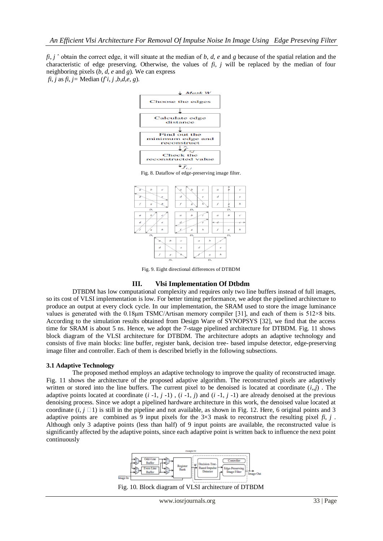*fi*, *j* ˆ obtain the correct edge, it will situate at the median of *b*, *d*, *e* and *g* because of the spatial relation and the characteristic of edge preserving. Otherwise, the values of  $f_i$ ,  $j$  will be replaced by the median of four neighboring pixels (*b*, *d*, *e* and *g*). We can express  $f$ *i*, *j* as  $f$ *i*,  $j =$  Median ( $f$ <sup>*i*</sup>,  $j$ ,  $b$ , $d$ , $e$ ,  $g$ ).





Fig. 9. Eight directional differences of DTBDM

#### **III. Vlsi Implementation Of Dtbdm**

DTBDM has low computational complexity and requires only two line buffers instead of full images, so its cost of VLSI implementation is low. For better timing performance, we adopt the pipelined architecture to produce an output at every clock cycle. In our implementation, the SRAM used to store the image luminance values is generated with the 0.18μm TSMC/Artisan memory compiler [31], and each of them is 512×8 bits. According to the simulation results obtained from Design Ware of SYNOPSYS [32], we find that the access time for SRAM is about 5 ns. Hence, we adopt the 7-stage pipelined architecture for DTBDM. Fig. 11 shows block diagram of the VLSI architecture for DTBDM. The architecture adopts an adaptive technology and consists of five main blocks: line buffer, register bank, decision tree- based impulse detector, edge-preserving image filter and controller. Each of them is described briefly in the following subsections.

#### **3.1 Adaptive Technology**

The proposed method employs an adaptive technology to improve the quality of reconstructed image. Fig. 11 shows the architecture of the proposed adaptive algorithm. The reconstructed pixels are adaptively written or stored into the line buffers. The current pixel to be denoised is located at coordinate (*i*,,*j*) . The adaptive points located at coordinate  $(i -1, j -1)$ ,  $(i -1, j)$  and  $(i -1, j -1)$  are already denoised at the previous denoising process. Since we adopt a pipelined hardware architecture in this work, the denoised value located at coordinate  $(i, j \square 1)$  is still in the pipeline and not available, as shown in Fig. 12. Here, 6 original points and 3 adaptive points arecombined as 9 input pixels for the 3×3 mask to reconstruct the resulting pixel *fi*, *j* . Although only 3 adaptive points (less than half) of 9 input points are available, the reconstructed value is significantly affected by the adaptive points, since each adaptive point is written back to influence the next point continuously

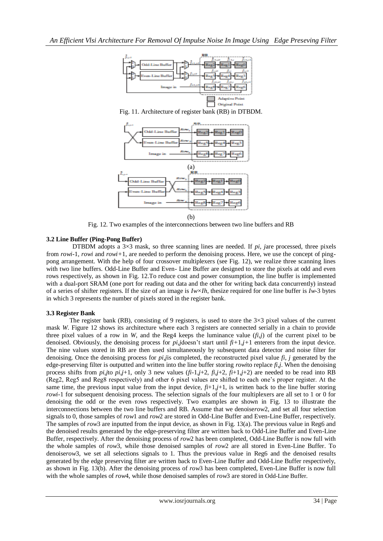

Fig. 11. Architecture of register bank (RB) in DTBDM.



Fig. 12. Two examples of the interconnections between two line buffers and RB

## **3.2 Line Buffer (Ping-Pong Buffer)**

DTBDM adopts a 3×3 mask, so three scanning lines are needed. If *pi, j*are processed, three pixels from *rowi-*1, *rowi* and *rowi+*1, are needed to perform the denoising process. Here, we use the concept of pingpong arrangement. With the help of four crossover multiplexers (see Fig. 12), we realize three scanning lines with two line buffers. Odd-Line Buffer and Even- Line Buffer are designed to store the pixels at odd and even rows respectively, as shown in Fig. 12.To reduce cost and power consumption, the line buffer is implemented with a dual-port SRAM (one port for reading out data and the other for writing back data concurrently) instead of a series of shifter registers. If the size of an image is *Iw×Ih*, thesize required for one line buffer is *Iw*-3 bytes in which 3 represents the number of pixels stored in the register bank.

## **3.3 Register Bank**

The register bank (RB), consisting of 9 registers, is used to store the  $3\times3$  pixel values of the current mask *W*. Figure 12 shows its architecture where each 3 registers are connected serially in a chain to provide three pixel values of a row in *W*, and the Reg4 keeps the luminance value  $(f<sub>i</sub>,j)$  of the current pixel to be denoised. Obviously, the denoising process for  $pi$ *,j*doesn't start until  $fi+1,j+1$  enterers from the input device. The nine values stored in RB are then used simultaneously by subsequent data detector and noise filter for denoising. Once the denoising process for *pi*,*j*is completed, the reconstructed pixel value *fi*, *j* generated by the edge-preserving filter is outputted and written into the line buffer storing *rowi*to replace *fi*,*j*. When the denoising process shifts from *pi*,*j*to *pi*,*j*+1, only 3 new values (*fi*-1,*j*+2, *fi*,*j*+2, *fi*+1,*j*+2) are needed to be read into RB (Reg2, Reg5 and Reg8 respectively) and other 6 pixel values are shifted to each one's proper register. At the same time, the previous input value from the input device,  $f_i+1,j+1$ , is written back to the line buffer storing *rowi*-1 for subsequent denoising process. The selection signals of the four multiplexers are all set to 1 or 0 for denoising the odd or the even rows respectively. Two examples are shown in Fig. 13 to illustrate the interconnections between the two line buffers and RB. Assume that we denoise*row*2, and set all four selection signals to 0, those samples of *row*1 and *row*2 are stored in Odd-Line Buffer and Even-Line Buffer, respectively. The samples of *row*3 are inputted from the input device, as shown in Fig. 13(a). The previous value in Reg6 and the denoised results generated by the edge-preserving filter are written back to Odd-Line Buffer and Even-Line Buffer, respectively. After the denoising process of *row*2 has been completed, Odd-Line Buffer is now full with the whole samples of *row*3, while those denoised samples of *row*2 are all stored in Even-Line Buffer. To denoise*row*3, we set all selections signals to 1. Thus the previous value in Reg6 and the denoised results generated by the edge preserving filter are written back to Even-Line Buffer and Odd-Line Buffer respectively, as shown in Fig. 13(b). After the denoising process of *row*3 has been completed, Even-Line Buffer is now full with the whole samples of *row*4, while those denoised samples of *row*3 are stored in Odd-Line Buffer.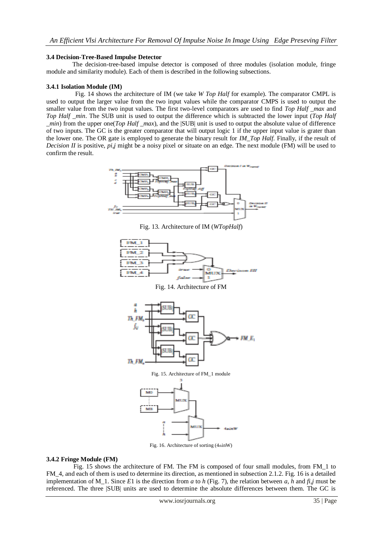### **3.4 Decision-Tree-Based Impulse Detector**

The decision-tree-based impulse detector is composed of three modules (isolation module, fringe module and similarity module). Each of them is described in the following subsections.

### **3.4.1 Isolation Module (IM)**

 Fig. 14 shows the architecture of IM (we take *W Top Half* for example). The comparator CMPL is used to output the larger value from the two input values while the comparator CMPS is used to output the smaller value from the two input values. The first two-level comparators are used to find *Top Half \_max* and *Top Half min.* The SUB unit is used to output the difference which is subtracted the lower input (*Top Half \_min*) from the upper one(*Top Half \_max*), and the |SUB| unit is used to output the absolute value of difference of two inputs. The GC is the greater comparator that will output logic 1 if the upper input value is grater than the lower one. The OR gate is employed to generate the binary result for *IM\_Top Half*. Finally, if the result of *Decision II* is positive, *pi*,*j* might be a noisy pixel or situate on an edge. The next module (FM) will be used to confirm the result.



Fig. 13. Architecture of IM (*WTopHalf*)



Fig. 16. Architecture of sorting (4thinW)

#### **3.4.2 Fringe Module (FM)**

 Fig. 15 shows the architecture of FM. The FM is composed of four small modules, from FM\_1 to FM\_4, and each of them is used to determine its direction, as mentioned in subsection 2.1.2. Fig. 16 is a detailed implementation of M<sub>\_</sub>1. Since *E*1 is the direction from *a* to *h* (Fig. 7), the relation between *a*, *h* and  $fi$ , *j* must be referenced. The three |SUB| units are used to determine the absolute differences between them. The GC is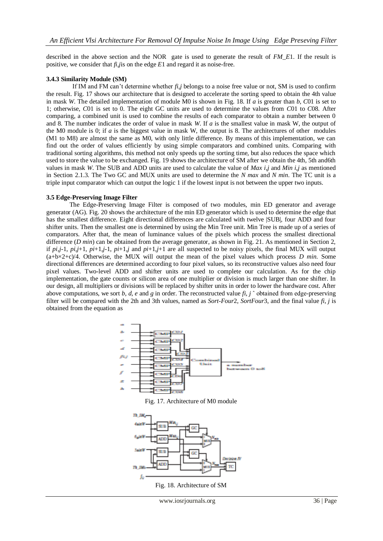described in the above section and the NOR gate is used to generate the result of *FM\_E*1. If the result is positive, we consider that *fi*,*j*is on the edge *E*1 and regard it as noise-free.

### **3.4.3 Similarity Module (SM)**

If IM and FM can't determine whether *fi*,*j* belongs to a noise free value or not, SM is used to confirm the result. Fig. 17 shows our architecture that is designed to accelerate the sorting speed to obtain the 4th value in mask *W*. The detailed implementation of module M0 is shown in Fig. 18. If *a* is greater than *b*, *C*01 is set to 1; otherwise, *C*01 is set to 0. The eight GC units are used to determine the values from *C*01 to *C*08*.* After comparing, a combined unit is used to combine the results of each comparator to obtain a number between 0 and 8. The number indicates the order of value in mask *W*. If *a* is the smallest value in mask *W*, the output of the M0 module is 0; if *a* is the biggest value in mask W, the output is 8. The architectures of other modules (M1 to M8) are almost the same as M0, with only little difference. By means of this implementation, we can find out the order of values efficiently by using simple comparators and combined units. Comparing with traditional sorting algorithms, this method not only speeds up the sorting time, but also reduces the space which used to store the value to be exchanged. Fig. 19 shows the architecture of SM after we obtain the 4th, 5th and6th values in mask *W*. The SUB and ADD units are used to calculate the value of *Max i,j* and *Min i,j* as mentioned in Section 2.1.3. The Two GC and MUX units are used to determine the *N max* and *N min*. The TC unit is a triple input comparator which can output the logic 1 if the lowest input is not between the upper two inputs.

#### **3.5 Edge-Preserving Image Filter**

The Edge-Preserving Image Filter is composed of two modules, min ED generator and average generator (AG). Fig. 20 shows the architecture of the min ED generator which is used to determine the edge that has the smallest difference. Eight directional differences are calculated with twelve |SUB|, four ADD and four shifter units. Then the smallest one is determined by using the Min Tree unit. Min Tree is made up of a series of comparators. After that, the mean of luminance values of the pixels which process the smallest directional difference (*D min*) can be obtained from the average generator, as shown in Fig. 21. As mentioned in Section 2, if  $pi_j$ -1,  $pi_j$ +1,  $pi+1_j$ -1,  $pi+1_j$  and  $pi+1_j+1$  are all suspected to be noisy pixels, the final MUX will output (a+b×2+c)/4. Otherwise, the MUX will output the mean of the pixel values which process *D min.* Some directional differences are determined according to four pixel values, so its reconstructive values also need four pixel values. Two-level ADD and shifter units are used to complete our calculation. As for the chip implementation, the gate counts or silicon area of one multiplier or division is much larger than one shifter. In our design, all multipliers or divisions will be replaced by shifter units in order to lower the hardware cost. After above computations, we sort *b*, *d*, *e* and *g* in order. The reconstructed value *fi*, *j* ˆ obtained from edge-preserving filter will be compared with the 2th and 3th values, named as *Sort-Four*2, *SortFour*3, and the final value *fi*, *j* is obtained from the equation as



Fig. 17. Architecture of M0 module



Fig. 18. Architecture of SM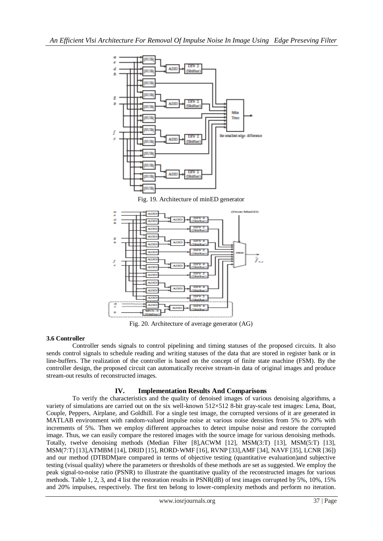

Fig. 20. Architecture of average generator (AG)

## **3.6 Controller**

Controller sends signals to control pipelining and timing statuses of the proposed circuits. It also sends control signals to schedule reading and writing statuses of the data that are stored in register bank or in line-buffers. The realization of the controller is based on the concept of finite state machine (FSM). By the controller design, the proposed circuit can automatically receive stream-in data of original images and produce stream-out results of reconstructed images.

## **IV. Implementation Results And Comparisons**

To verify the characteristics and the quality of denoised images of various denoising algorithms, a variety of simulations are carried out on the six well-known 512×512 8-bit gray-scale test images: Lena, Boat, Couple, Peppers, Airplane, and Goldhill. For a single test image, the corrupted versions of it are generated in MATLAB environment with random-valued impulse noise at various noise densities from 5% to 20% with increments of 5%. Then we employ different approaches to detect impulse noise and restore the corrupted image. Thus, we can easily compare the restored images with the source image for various denoising methods. Totally, twelve denoising methods (Median Filter [8],ACWM [12], MSM(3:T) [13], MSM(5:T) [13], MSM(7:T) [13],ATMBM [14], DRID [15], RORD-WMF [16], RVNP [33],AMF [34], NAVF [35], LCNR [36]) and our method (DTBDM)are compared in terms of objective testing (quantitative evaluation)and subjective testing (visual quality) where the parameters or thresholds of these methods are set as suggested. We employ the peak signal-to-noise ratio (PSNR) to illustrate the quantitative quality of the reconstructed images for various methods. Table 1, 2, 3, and 4 list the restoration results in PSNR(dB) of test images corrupted by 5%, 10%, 15% and 20% impulses, respectively. The first ten belong to lower-complexity methods and perform no iteration.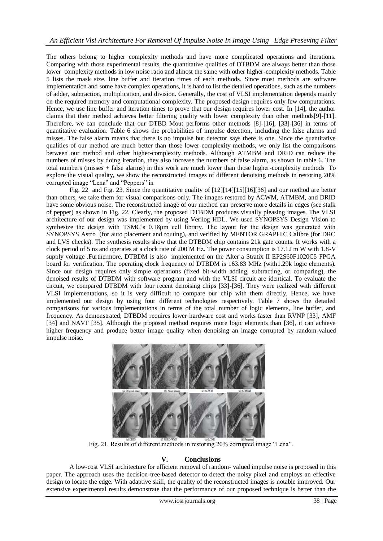The others belong to higher complexity methods and have more complicated operations and iterations. Comparing with those experimental results, the quantitative qualities of DTBDM are always better than those lower complexity methods in low noise ratio and almost the same with other higher-complexity methods. Table 5 lists the mask size, line buffer and iteration times of each methods. Since most methods are software implementation and some have complex operations, it is hard to list the detailed operations, such as the numbers of adder, subtraction, multiplication, and division. Generally, the cost of VLSI implementation depends mainly on the required memory and computational complexity. The proposed design requires only few computations. Hence, we use line buffer and iteration times to prove that our design requires lower cost. In [14], the author claims that their method achieves better filtering quality with lower complexity than other methods[9]-[11]. Therefore, we can conclude that our DTBD Mout performs other methods [8]-[16], [33]-[36] in terms of quantitative evaluation. Table 6 shows the probabilities of impulse detection, including the false alarms and misses. The false alarm means that there is no impulse but detector says there is one. Since the quantitative qualities of our method are much better than those lower-complexity methods, we only list the comparisons between our method and other higher-complexity methods. Although ATMBM and DRID can reduce the numbers of misses by doing iteration, they also increase the numbers of false alarm, as shown in table 6. The total numbers (misses + false alarms) in this work are much lower than those higher-complexity methods To explore the visual quality, we show the reconstructed images of different denoising methods in restoring 20% corrupted image "Lena" and "Peppers" in

Fig. 22 and Fig. 23. Since the quantitative quality of [12][14][15][16][36] and our method are better than others, we take them for visual comparisons only. The images restored by ACWM, ATMBM, and DRID have some obvious noise. The reconstructed image of our method can preserve more details in edges (see stalk of pepper) as shown in Fig. 22. Clearly, the proposed DTBDM produces visually pleasing images. The VLSI architecture of our design was implemented by using Verilog HDL. We used SYNOPSYS Design Vision to synthesize the design with TSMC's 0.18μm cell library. The layout for the design was generated with SYNOPSYS Astro (for auto placement and routing), and verified by MENTOR GRAPHIC Calibre (for DRC and LVS checks). The synthesis results show that the DTBDM chip contains 21k gate counts. It works with a clock period of 5 ns and operates at a clock rate of 200 M Hz. The power consumption is 17.12 m W with 1.8-V supply voltage .Furthermore, DTBDM is also implemented on the Alter a Stratix II EP2S60F1020C5 FPGA board for verification. The operating clock frequency of DTBDM is 163.83 MHz (with1.29k logic elements). Since our design requires only simple operations (fixed bit-width adding, subtracting, or comparing), the denoised results of DTBDM with software program and with the VLSI circuit are identical. To evaluate the circuit, we compared DTBDM with four recent denoising chips [33]-[36]. They were realized with different VLSI implementations, so it is very difficult to compare our chip with them directly. Hence, we have implemented our design by using four different technologies respectively. Table 7 shows the detailed comparisons for various implementations in terms of the total number of logic elements, line buffer, and frequency. As demonstrated, DTBDM requires lower hardware cost and works faster than RVNP [33], AMF [34] and NAVF [35]. Although the proposed method requires more logic elements than [36], it can achieve higher frequency and produce better image quality when denoising an image corrupted by random-valued impulse noise.



Fig. 21. Results of different methods in restoring 20% corrupted image "Lena".

## **V. Conclusions**

A low-cost VLSI architecture for efficient removal of random- valued impulse noise is proposed in this paper. The approach uses the decision-tree-based detector to detect the noisy pixel and employs an effective design to locate the edge. With adaptive skill, the quality of the reconstructed images is notable improved. Our extensive experimental results demonstrate that the performance of our proposed technique is better than the